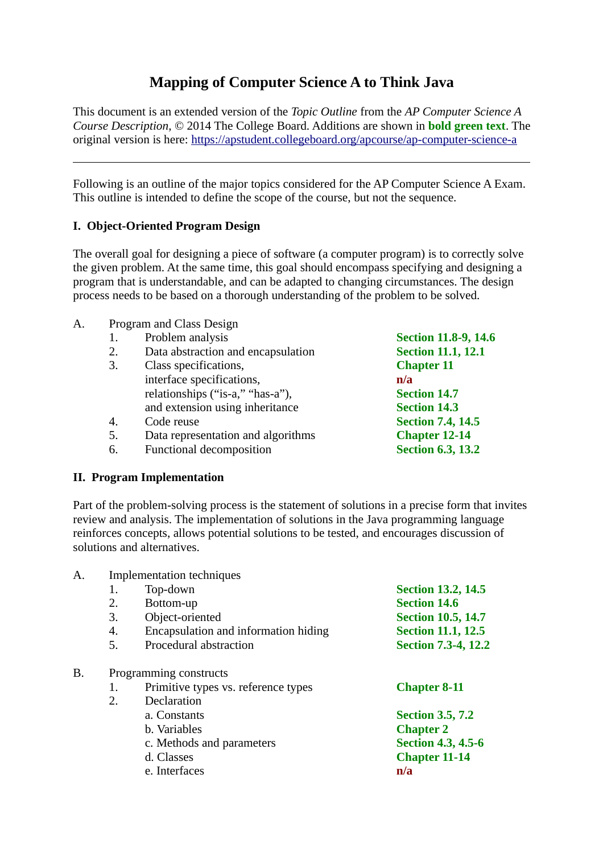# **Mapping of Computer Science A to Think Java**

This document is an extended version of the *Topic Outline* from the *AP Computer Science A Course Description*, © 2014 The College Board. Additions are shown in **bold green text**. The original version is here:<https://apstudent.collegeboard.org/apcourse/ap-computer-science-a>

Following is an outline of the major topics considered for the AP Computer Science A Exam. This outline is intended to define the scope of the course, but not the sequence.

# **I. Object-Oriented Program Design**

The overall goal for designing a piece of software (a computer program) is to correctly solve the given problem. At the same time, this goal should encompass specifying and designing a program that is understandable, and can be adapted to changing circumstances. The design process needs to be based on a thorough understanding of the problem to be solved.

- A. Program and Class Design
	- 1. Problem analysis **Section 11.8-9, 14.6**
	- 2. Data abstraction and encapsulation **Section 11.1, 12.1**
	- 3. Class specifications, **Chapter 11** interface specifications, **n/a** relationships ("is-a," "has-a"), **Section 14.7** and extension using inheritance **Section 14.3**
	- 4. Code reuse **Section 7.4, 14.5**
	- 5. Data representation and algorithms **Chapter 12-14**
	- 6. Functional decomposition **Section 6.3, 13.2**

#### **II. Program Implementation**

Part of the problem-solving process is the statement of solutions in a precise form that invites review and analysis. The implementation of solutions in the Java programming language reinforces concepts, allows potential solutions to be tested, and encourages discussion of solutions and alternatives.

| A. | <b>Implementation techniques</b> |                                      |                            |  |
|----|----------------------------------|--------------------------------------|----------------------------|--|
|    | 1.                               | Top-down                             | <b>Section 13.2, 14.5</b>  |  |
|    | 2.                               | Bottom-up                            | <b>Section 14.6</b>        |  |
|    | 3.                               | Object-oriented                      | <b>Section 10.5, 14.7</b>  |  |
|    | 4.                               | Encapsulation and information hiding | <b>Section 11.1, 12.5</b>  |  |
|    | 5.                               | Procedural abstraction               | <b>Section 7.3-4, 12.2</b> |  |
| Β. | Programming constructs           |                                      |                            |  |
|    | 1.                               | Primitive types vs. reference types  | <b>Chapter 8-11</b>        |  |
|    | 2.                               | Declaration                          |                            |  |
|    |                                  | a. Constants                         | <b>Section 3.5, 7.2</b>    |  |
|    |                                  | b. Variables                         | <b>Chapter 2</b>           |  |
|    |                                  | c. Methods and parameters            | <b>Section 4.3, 4.5-6</b>  |  |
|    |                                  | d. Classes                           | <b>Chapter 11-14</b>       |  |
|    |                                  | e. Interfaces                        | n/a                        |  |
|    |                                  |                                      |                            |  |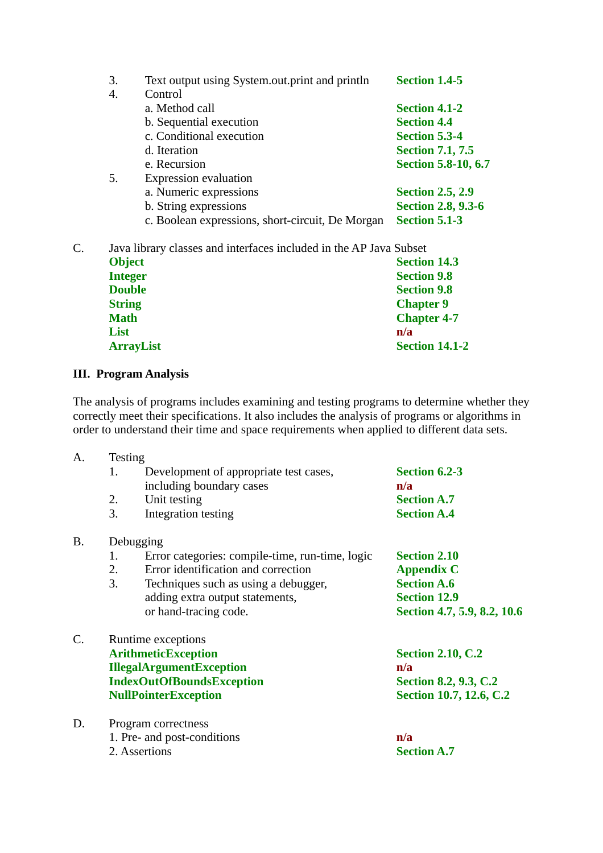|    | 3.             | Text output using System.out.print and println                     | <b>Section 1.4-5</b>       |
|----|----------------|--------------------------------------------------------------------|----------------------------|
|    | 4.             | Control                                                            |                            |
|    |                | a. Method call                                                     | <b>Section 4.1-2</b>       |
|    |                | b. Sequential execution                                            | <b>Section 4.4</b>         |
|    |                | c. Conditional execution                                           | <b>Section 5.3-4</b>       |
|    |                | d. Iteration                                                       | <b>Section 7.1, 7.5</b>    |
|    |                | e. Recursion                                                       | <b>Section 5.8-10, 6.7</b> |
|    | 5.             | <b>Expression evaluation</b>                                       |                            |
|    |                | a. Numeric expressions                                             | <b>Section 2.5, 2.9</b>    |
|    |                | b. String expressions                                              | <b>Section 2.8, 9.3-6</b>  |
|    |                | c. Boolean expressions, short-circuit, De Morgan                   | <b>Section 5.1-3</b>       |
| C. |                | Java library classes and interfaces included in the AP Java Subset |                            |
|    | <b>Object</b>  |                                                                    | <b>Section 14.3</b>        |
|    | <b>Integer</b> |                                                                    | <b>Section 9.8</b>         |
|    | <b>Double</b>  |                                                                    | <b>Section 9.8</b>         |
|    | <b>String</b>  |                                                                    | <b>Chapter 9</b>           |
|    | <b>Math</b>    |                                                                    | <b>Chapter 4-7</b>         |
|    | List           |                                                                    | n/a                        |
|    |                | <b>ArrayList</b>                                                   | <b>Section 14.1-2</b>      |
|    |                |                                                                    |                            |

# **III. Program Analysis**

The analysis of programs includes examining and testing programs to determine whether they correctly meet their specifications. It also includes the analysis of programs or algorithms in order to understand their time and space requirements when applied to different data sets.

| A. | <b>Testing</b>                                        |                              |  |  |
|----|-------------------------------------------------------|------------------------------|--|--|
|    | Development of appropriate test cases,<br>1.          | <b>Section 6.2-3</b>         |  |  |
|    | including boundary cases                              | n/a                          |  |  |
|    | Unit testing<br>2.                                    | <b>Section A.7</b>           |  |  |
|    | 3.<br>Integration testing                             | <b>Section A.4</b>           |  |  |
| В. | Debugging                                             |                              |  |  |
|    | Error categories: compile-time, run-time, logic<br>1. | <b>Section 2.10</b>          |  |  |
|    | Error identification and correction<br>2.             | <b>Appendix C</b>            |  |  |
|    | 3.<br>Techniques such as using a debugger,            | <b>Section A.6</b>           |  |  |
|    | adding extra output statements,                       | <b>Section 12.9</b>          |  |  |
|    | or hand-tracing code.                                 | Section 4.7, 5.9, 8.2, 10.6  |  |  |
| C. | Runtime exceptions                                    |                              |  |  |
|    | <b>ArithmeticException</b>                            | <b>Section 2.10, C.2</b>     |  |  |
|    | <b>IllegalArgumentException</b>                       | n/a                          |  |  |
|    | <b>IndexOutOfBoundsException</b>                      | <b>Section 8.2, 9.3, C.2</b> |  |  |
|    | <b>NullPointerException</b>                           | Section 10.7, 12.6, C.2      |  |  |
| D. | Program correctness                                   |                              |  |  |
|    | 1. Pre- and post-conditions                           | n/a                          |  |  |
|    | 2. Assertions                                         | <b>Section A.7</b>           |  |  |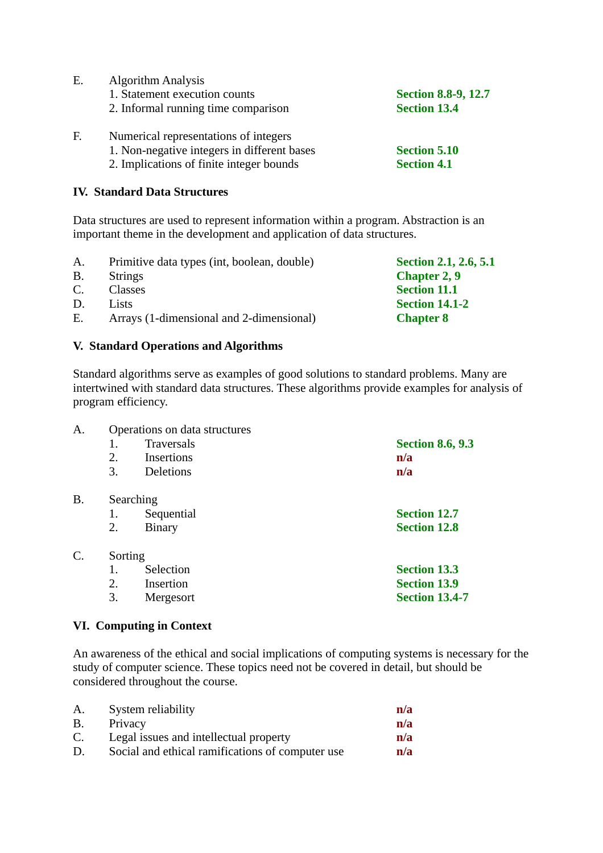| E. | <b>Algorithm Analysis</b>                   |                            |  |
|----|---------------------------------------------|----------------------------|--|
|    | 1. Statement execution counts               | <b>Section 8.8-9, 12.7</b> |  |
|    | 2. Informal running time comparison         | <b>Section 13.4</b>        |  |
| F. | Numerical representations of integers       |                            |  |
|    | 1. Non-negative integers in different bases | <b>Section 5.10</b>        |  |
|    | 2. Implications of finite integer bounds    | <b>Section 4.1</b>         |  |

### **IV. Standard Data Structures**

Data structures are used to represent information within a program. Abstraction is an important theme in the development and application of data structures.

- A. Primitive data types (int, boolean, double) **Section 2.1, 2.6, 5.1** B. Strings **Chapter 2, 9** C. Classes **Section 11.1**
- D. Lists **Section 14.1-2**
- E. Arrays (1-dimensional and 2-dimensional) **Chapter 8**

# **V. Standard Operations and Algorithms**

Standard algorithms serve as examples of good solutions to standard problems. Many are intertwined with standard data structures. These algorithms provide examples for analysis of program efficiency.

| A. | Operations on data structures |                  |                         |
|----|-------------------------------|------------------|-------------------------|
|    | 1.                            | Traversals       | <b>Section 8.6, 9.3</b> |
|    | 2.                            | Insertions       | n/a                     |
|    | 3.                            | <b>Deletions</b> | n/a                     |
| B. | Searching                     |                  |                         |
|    | 1.                            | Sequential       | <b>Section 12.7</b>     |
|    | 2.                            | <b>Binary</b>    | <b>Section 12.8</b>     |
| C. | Sorting                       |                  |                         |
|    | 1.                            | Selection        | <b>Section 13.3</b>     |
|    | 2.                            | Insertion        | <b>Section 13.9</b>     |
|    | 3.                            | Mergesort        | <b>Section 13.4-7</b>   |
|    |                               |                  |                         |

## **VI. Computing in Context**

An awareness of the ethical and social implications of computing systems is necessary for the study of computer science. These topics need not be covered in detail, but should be considered throughout the course.

| A. | System reliability                               | n/a |
|----|--------------------------------------------------|-----|
| B. | Privacy                                          | n/a |
| C. | Legal issues and intellectual property           | n/a |
| D. | Social and ethical ramifications of computer use | n/a |